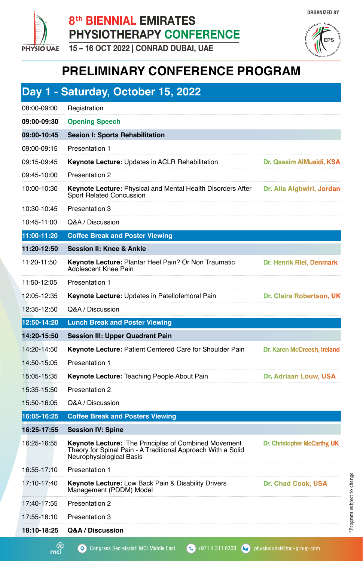

## 8<sup>th</sup> BIENNIAL EMIRATES PHYSIOTHERAPY CONFERENCE

15-16 OCT 2022 | CONRAD DUBAI, UAE



**ORGANIZED BY** 

## **PRELIMINARY CONFERENCE PROGRAM**

|             | Day 1 - Saturday, October 15, 2022                                                                                                                      |                                 |
|-------------|---------------------------------------------------------------------------------------------------------------------------------------------------------|---------------------------------|
| 08:00-09:00 | Registration                                                                                                                                            |                                 |
| 09:00-09:30 | <b>Opening Speech</b>                                                                                                                                   |                                 |
| 09:00-10:45 | <b>Sesion I: Sports Rehabilitation</b>                                                                                                                  |                                 |
| 09:00-09:15 | <b>Presentation 1</b>                                                                                                                                   |                                 |
| 09:15-09:45 | Keynote Lecture: Updates in ACLR Rehabilitation                                                                                                         | Dr. Qassim AlMuaidi, KSA        |
| 09:45-10:00 | <b>Presentation 2</b>                                                                                                                                   |                                 |
| 10:00-10:30 | <b>Keynote Lecture: Physical and Mental Health Disorders After</b><br>Sport Related Concussion                                                          | Dr. Alia Alghwiri, Jordan       |
| 10:30-10:45 | Presentation 3                                                                                                                                          |                                 |
| 10:45-11:00 | Q&A / Discussion                                                                                                                                        |                                 |
| 11:00-11:20 | <b>Coffee Break and Poster Viewing</b>                                                                                                                  |                                 |
| 11:20-12:50 | <b>Session II: Knee &amp; Ankle</b>                                                                                                                     |                                 |
| 11:20-11:50 | Keynote Lecture: Plantar Heel Pain? Or Non Traumatic<br>Adolescent Knee Pain                                                                            | Dr. Henrik Riel, Denmark        |
| 11:50-12:05 | <b>Presentation 1</b>                                                                                                                                   |                                 |
| 12:05-12:35 | Keynote Lecture: Updates in Patellofemoral Pain                                                                                                         | <b>Dr. Claire Robertson, UK</b> |
| 12:35-12:50 | Q&A / Discussion                                                                                                                                        |                                 |
|             |                                                                                                                                                         |                                 |
| 12:50-14:20 | <b>Lunch Break and Poster Viewing</b>                                                                                                                   |                                 |
| 14:20-15:50 | <b>Session III: Upper Quadrant Pain</b>                                                                                                                 |                                 |
| 14:20-14:50 | Keynote Lecture: Patient Centered Care for Shoulder Pain                                                                                                | Dr. Karen McCreesh, Ireland     |
| 14:50-15:05 | Presentation 1                                                                                                                                          |                                 |
| 15:05-15:35 | Keynote Lecture: Teaching People About Pain                                                                                                             | Dr. Adriaan Louw, USA           |
| 15:35-15:50 | <b>Presentation 2</b>                                                                                                                                   |                                 |
| 15:50-16:05 | Q&A / Discussion                                                                                                                                        |                                 |
| 16:05-16:25 | <b>Coffee Break and Posters Viewing</b>                                                                                                                 |                                 |
| 16:25-17:55 | <b>Session IV: Spine</b>                                                                                                                                |                                 |
| 16:25-16:55 | <b>Keynote Lecture: The Principles of Combined Movement</b><br>Theory for Spinal Pain - A Traditional Approach With a Solid<br>Neurophysiological Basis | Dr. Christopher McCarthy, UK    |
| 16:55-17:10 | <b>Presentation 1</b>                                                                                                                                   |                                 |
| 17:10-17:40 | <b>Keynote Lecture: Low Back Pain &amp; Disability Drivers</b><br>Management (PDDM) Model                                                               | <b>Dr. Chad Cook, USA</b>       |
| 17:40-17:55 | <b>Presentation 2</b>                                                                                                                                   |                                 |
| 17:55-18:10 | <b>Presentation 3</b>                                                                                                                                   |                                 |